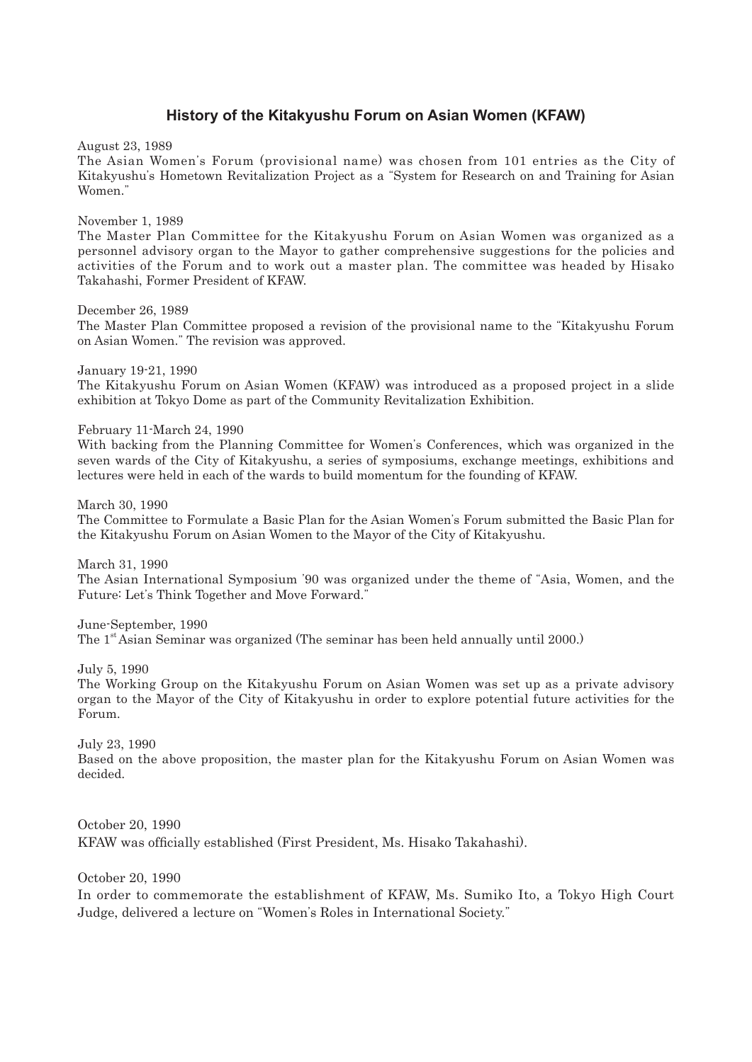## **History of the Kitakyushu Forum on Asian Women (KFAW)**

August 23, 1989

The Asian Women's Forum (provisional name) was chosen from 101 entries as the City of Kitakyushu's Hometown Revitalization Project as a "System for Research on and Training for Asian Women."

November 1, 1989

The Master Plan Committee for the Kitakyushu Forum on Asian Women was organized as a personnel advisory organ to the Mayor to gather comprehensive suggestions for the policies and activities of the Forum and to work out a master plan. The committee was headed by Hisako Takahashi, Former President of KFAW.

December 26, 1989

The Master Plan Committee proposed a revision of the provisional name to the "Kitakyushu Forum on Asian Women." The revision was approved.

January 19-21, 1990 The Kitakyushu Forum on Asian Women (KFAW) was introduced as a proposed project in a slide exhibition at Tokyo Dome as part of the Community Revitalization Exhibition.

February 11-March 24, 1990

With backing from the Planning Committee for Women's Conferences, which was organized in the seven wards of the City of Kitakyushu, a series of symposiums, exchange meetings, exhibitions and lectures were held in each of the wards to build momentum for the founding of KFAW.

March 30, 1990 The Committee to Formulate a Basic Plan for the Asian Women's Forum submitted the Basic Plan for the Kitakyushu Forum on Asian Women to the Mayor of the City of Kitakyushu.

March 31, 1990

The Asian International Symposium '90 was organized under the theme of "Asia, Women, and the Future: Let's Think Together and Move Forward."

June-September, 1990

The 1<sup>st</sup> Asian Seminar was organized (The seminar has been held annually until 2000.)

July 5, 1990

The Working Group on the Kitakyushu Forum on Asian Women was set up as a private advisory organ to the Mayor of the City of Kitakyushu in order to explore potential future activities for the Forum.

July 23, 1990

Based on the above proposition, the master plan for the Kitakyushu Forum on Asian Women was decided.

October 20, 1990 KFAW was officially established (First President, Ms. Hisako Takahashi).

October 20, 1990

In order to commemorate the establishment of KFAW, Ms. Sumiko Ito, a Tokyo High Court Judge, delivered a lecture on "Women's Roles in International Society."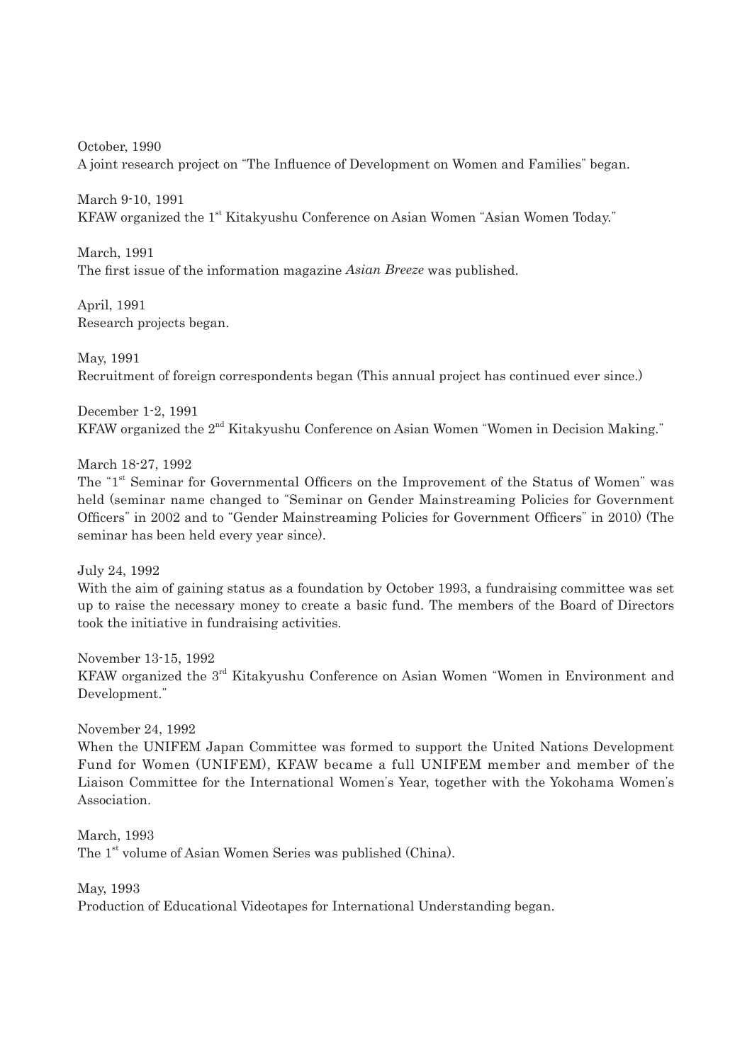October, 1990 A joint research project on "The Influence of Development on Women and Families" began.

March 9-10, 1991 KFAW organized the 1<sup>st</sup> Kitakyushu Conference on Asian Women "Asian Women Today."

March, 1991 The first issue of the information magazine *Asian Breeze* was published.

April, 1991 Research projects began.

May, 1991 Recruitment of foreign correspondents began (This annual project has continued ever since.)

December 1-2, 1991 KFAW organized the 2<sup>nd</sup> Kitakyushu Conference on Asian Women "Women in Decision Making."

March 18-27, 1992

The "1<sup>st</sup> Seminar for Governmental Officers on the Improvement of the Status of Women" was held (seminar name changed to "Seminar on Gender Mainstreaming Policies for Government Officers" in 2002 and to "Gender Mainstreaming Policies for Government Officers" in 2010) (The seminar has been held every year since).

July 24, 1992

With the aim of gaining status as a foundation by October 1993, a fundraising committee was set up to raise the necessary money to create a basic fund. The members of the Board of Directors took the initiative in fundraising activities.

November 13-15, 1992 KFAW organized the 3<sup>rd</sup> Kitakyushu Conference on Asian Women "Women in Environment and Development."

November 24, 1992

When the UNIFEM Japan Committee was formed to support the United Nations Development Fund for Women (UNIFEM), KFAW became a full UNIFEM member and member of the Liaison Committee for the International Women's Year, together with the Yokohama Women's Association.

March, 1993 The 1<sup>st</sup> volume of Asian Women Series was published (China).

May, 1993

Production of Educational Videotapes for International Understanding began.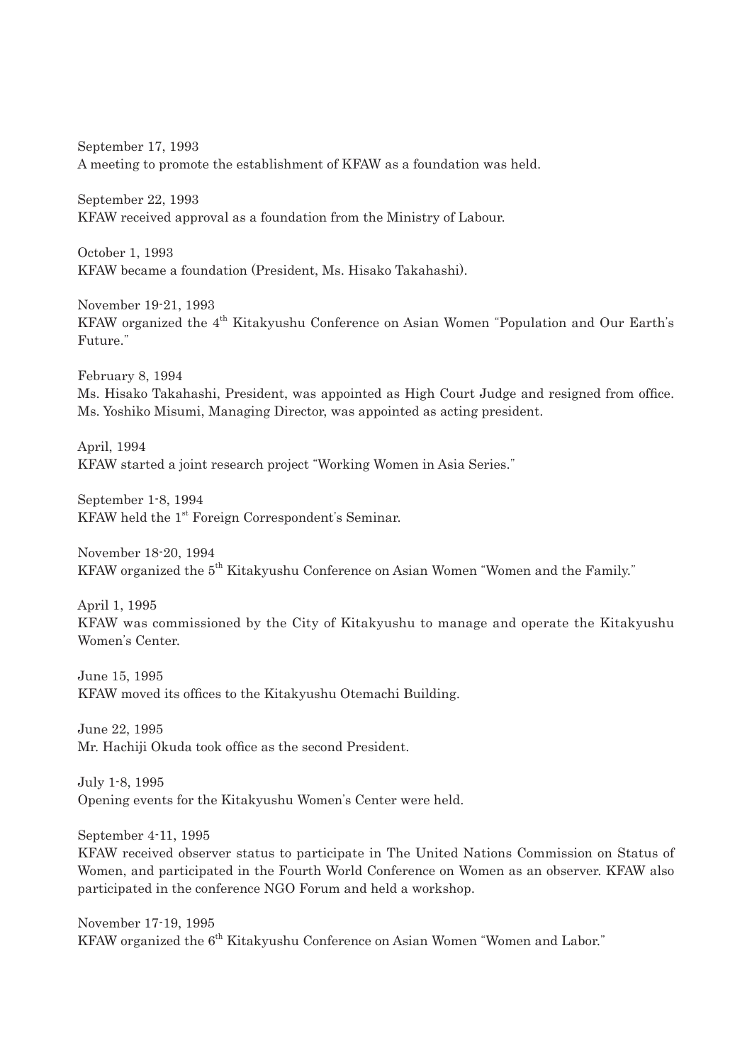September 17, 1993 A meeting to promote the establishment of KFAW as a foundation was held.

September 22, 1993 KFAW received approval as a foundation from the Ministry of Labour.

October 1, 1993 KFAW became a foundation (President, Ms. Hisako Takahashi).

November 19-21, 1993 KFAW organized the 4<sup>th</sup> Kitakyushu Conference on Asian Women "Population and Our Earth's Future."

February 8, 1994 Ms. Hisako Takahashi, President, was appointed as High Court Judge and resigned from office. Ms. Yoshiko Misumi, Managing Director, was appointed as acting president.

April, 1994 KFAW started a joint research project "Working Women in Asia Series."

September 1-8, 1994 KFAW held the  $1<sup>st</sup>$  Foreign Correspondent's Seminar.

November 18-20, 1994 KFAW organized the 5<sup>th</sup> Kitakyushu Conference on Asian Women "Women and the Family."

April 1, 1995 KFAW was commissioned by the City of Kitakyushu to manage and operate the Kitakyushu Women's Center.

June 15, 1995 KFAW moved its offices to the Kitakyushu Otemachi Building.

June 22, 1995 Mr. Hachiji Okuda took office as the second President.

July 1-8, 1995 Opening events for the Kitakyushu Women's Center were held.

September 4-11, 1995

KFAW received observer status to participate in The United Nations Commission on Status of Women, and participated in the Fourth World Conference on Women as an observer. KFAW also participated in the conference NGO Forum and held a workshop.

November 17-19, 1995 KFAW organized the 6<sup>th</sup> Kitakyushu Conference on Asian Women "Women and Labor."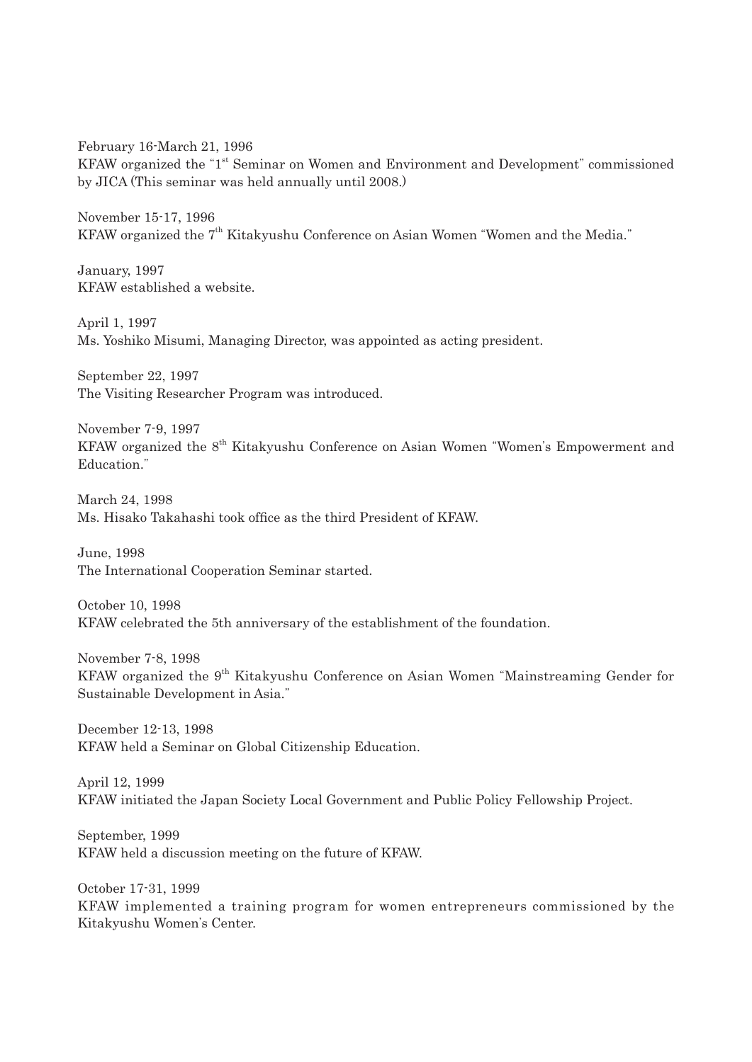February 16-March 21, 1996 KFAW organized the "1<sup>st</sup> Seminar on Women and Environment and Development" commissioned by JICA (This seminar was held annually until 2008.)

November 15-17, 1996 KFAW organized the 7<sup>th</sup> Kitakyushu Conference on Asian Women "Women and the Media."

January, 1997 KFAW established a website.

April 1, 1997 Ms. Yoshiko Misumi, Managing Director, was appointed as acting president.

September 22, 1997 The Visiting Researcher Program was introduced.

November 7-9, 1997 KFAW organized the 8<sup>th</sup> Kitakyushu Conference on Asian Women "Women's Empowerment and Education."

March 24, 1998 Ms. Hisako Takahashi took office as the third President of KFAW.

June, 1998 The International Cooperation Seminar started.

October 10, 1998 KFAW celebrated the 5th anniversary of the establishment of the foundation.

November 7-8, 1998 KFAW organized the 9<sup>th</sup> Kitakyushu Conference on Asian Women "Mainstreaming Gender for Sustainable Development in Asia."

December 12-13, 1998 KFAW held a Seminar on Global Citizenship Education.

April 12, 1999 KFAW initiated the Japan Society Local Government and Public Policy Fellowship Project.

September, 1999 KFAW held a discussion meeting on the future of KFAW.

October 17-31, 1999 KFAW implemented a training program for women entrepreneurs commissioned by the Kitakyushu Women's Center.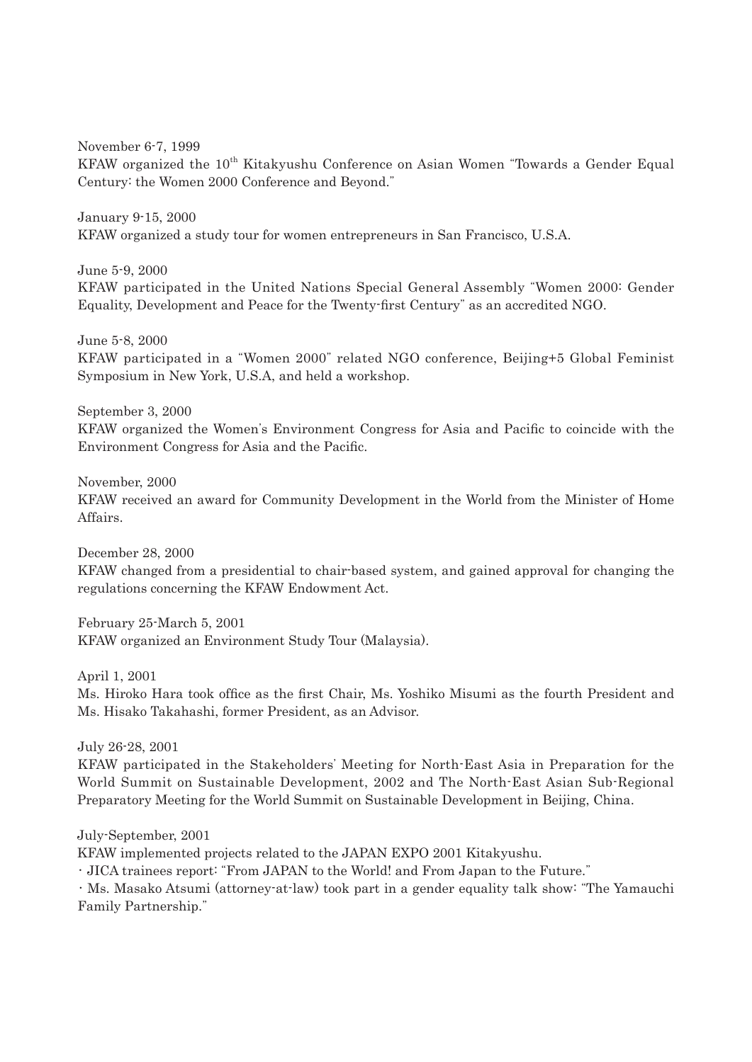November 6-7, 1999

KFAW organized the 10<sup>th</sup> Kitakyushu Conference on Asian Women "Towards a Gender Equal Century: the Women 2000 Conference and Beyond."

January 9-15, 2000 KFAW organized a study tour for women entrepreneurs in San Francisco, U.S.A.

June 5-9, 2000

KFAW participated in the United Nations Special General Assembly "Women 2000: Gender Equality, Development and Peace for the Twenty-first Century" as an accredited NGO.

June 5-8, 2000

KFAW participated in a "Women 2000" related NGO conference, Beijing+5 Global Feminist Symposium in New York, U.S.A, and held a workshop.

September 3, 2000

KFAW organized the Women's Environment Congress for Asia and Pacific to coincide with the Environment Congress for Asia and the Pacific.

November, 2000

KFAW received an award for Community Development in the World from the Minister of Home Affairs.

December 28, 2000

KFAW changed from a presidential to chair-based system, and gained approval for changing the regulations concerning the KFAW Endowment Act.

February 25-March 5, 2001 KFAW organized an Environment Study Tour (Malaysia).

April 1, 2001

Ms. Hiroko Hara took office as the first Chair, Ms. Yoshiko Misumi as the fourth President and Ms. Hisako Takahashi, former President, as an Advisor.

July 26-28, 2001

KFAW participated in the Stakeholders' Meeting for North-East Asia in Preparation for the World Summit on Sustainable Development, 2002 and The North-East Asian Sub-Regional Preparatory Meeting for the World Summit on Sustainable Development in Beijing, China.

July-September, 2001

KFAW implemented projects related to the JAPAN EXPO 2001 Kitakyushu.

・JICA trainees report: "From JAPAN to the World! and From Japan to the Future."

・Ms. Masako Atsumi (attorney-at-law) took part in a gender equality talk show: "The Yamauchi Family Partnership."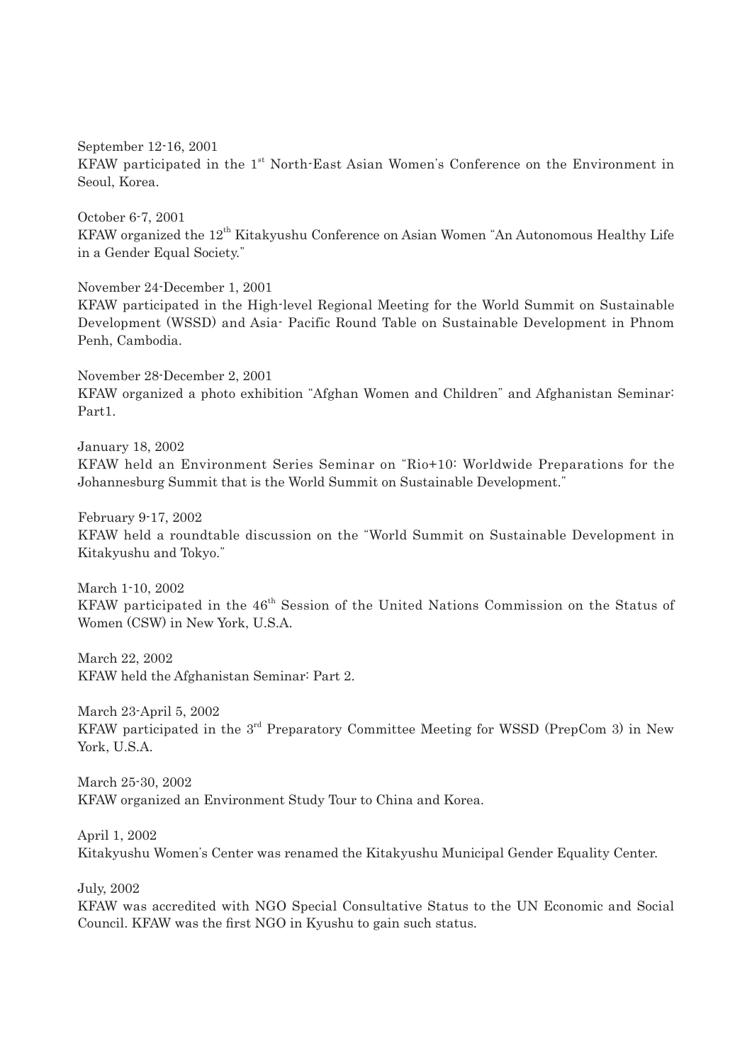September 12-16, 2001 KFAW participated in the 1<sup>st</sup> North-East Asian Women's Conference on the Environment in Seoul, Korea.

October 6-7, 2001 KFAW organized the 12<sup>th</sup> Kitakyushu Conference on Asian Women "An Autonomous Healthy Life in a Gender Equal Society."

November 24-December 1, 2001

KFAW participated in the High-level Regional Meeting for the World Summit on Sustainable Development (WSSD) and Asia- Pacific Round Table on Sustainable Development in Phnom Penh, Cambodia.

November 28-December 2, 2001 KFAW organized a photo exhibition "Afghan Women and Children" and Afghanistan Seminar: Part1.

January 18, 2002 KFAW held an Environment Series Seminar on "Rio+10: Worldwide Preparations for the Johannesburg Summit that is the World Summit on Sustainable Development."

February 9-17, 2002 KFAW held a roundtable discussion on the "World Summit on Sustainable Development in Kitakyushu and Tokyo."

March 1-10, 2002 KFAW participated in the  $46<sup>th</sup>$  Session of the United Nations Commission on the Status of Women (CSW) in New York, U.S.A.

March 22, 2002 KFAW held the Afghanistan Seminar: Part 2.

March 23-April 5, 2002 KFAW participated in the  $3<sup>rd</sup>$  Preparatory Committee Meeting for WSSD (PrepCom 3) in New York, U.S.A.

March 25-30, 2002 KFAW organized an Environment Study Tour to China and Korea.

April 1, 2002 Kitakyushu Women's Center was renamed the Kitakyushu Municipal Gender Equality Center.

July, 2002

KFAW was accredited with NGO Special Consultative Status to the UN Economic and Social Council. KFAW was the first NGO in Kyushu to gain such status.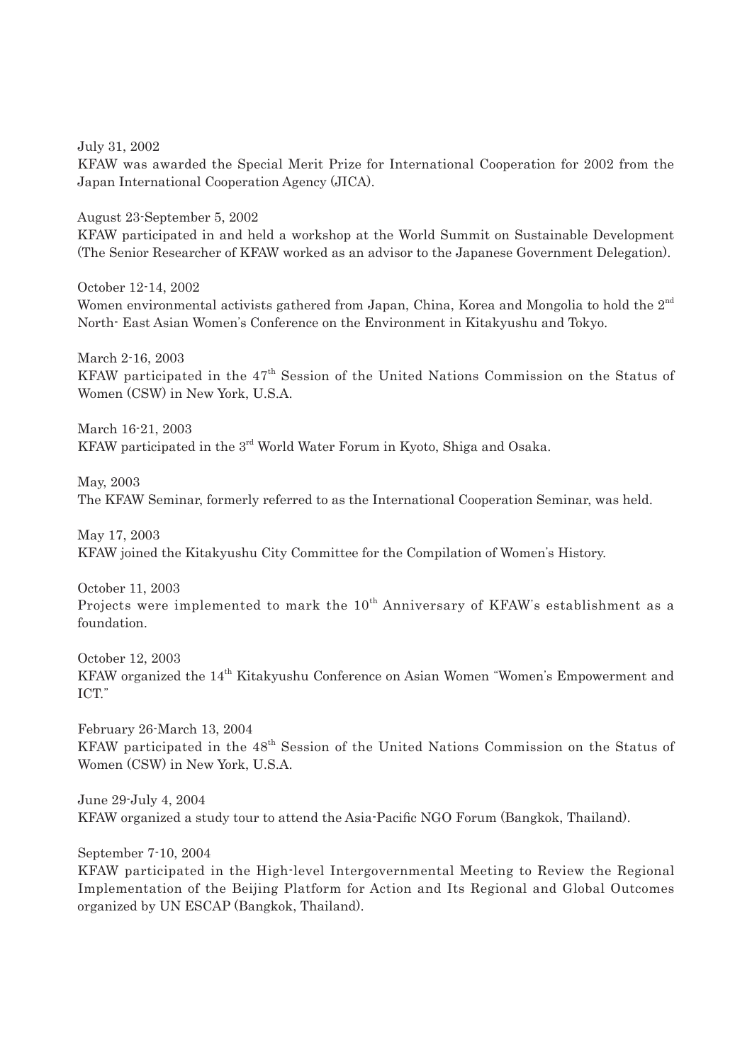July 31, 2002

KFAW was awarded the Special Merit Prize for International Cooperation for 2002 from the Japan International Cooperation Agency (JICA).

August 23-September 5, 2002

KFAW participated in and held a workshop at the World Summit on Sustainable Development (The Senior Researcher of KFAW worked as an advisor to the Japanese Government Delegation).

October 12-14, 2002 Women environmental activists gathered from Japan, China, Korea and Mongolia to hold the  $2^{nd}$ North- East Asian Women's Conference on the Environment in Kitakyushu and Tokyo.

March 2-16, 2003 KFAW participated in the  $47<sup>th</sup>$  Session of the United Nations Commission on the Status of Women (CSW) in New York, U.S.A.

March 16-21, 2003 KFAW participated in the 3<sup>rd</sup> World Water Forum in Kyoto, Shiga and Osaka.

May, 2003 The KFAW Seminar, formerly referred to as the International Cooperation Seminar, was held.

May 17, 2003 KFAW joined the Kitakyushu City Committee for the Compilation of Women's History.

October 11, 2003 Projects were implemented to mark the  $10^{th}$  Anniversary of KFAW's establishment as a foundation.

October 12, 2003 KFAW organized the 14<sup>th</sup> Kitakyushu Conference on Asian Women "Women's Empowerment and ICT."

February 26-March 13, 2004 KFAW participated in the 48<sup>th</sup> Session of the United Nations Commission on the Status of Women (CSW) in New York, U.S.A.

June 29-July 4, 2004 KFAW organized a study tour to attend the Asia-Pacific NGO Forum (Bangkok, Thailand).

September 7-10, 2004

KFAW participated in the High-level Intergovernmental Meeting to Review the Regional Implementation of the Beijing Platform for Action and Its Regional and Global Outcomes organized by UN ESCAP (Bangkok, Thailand).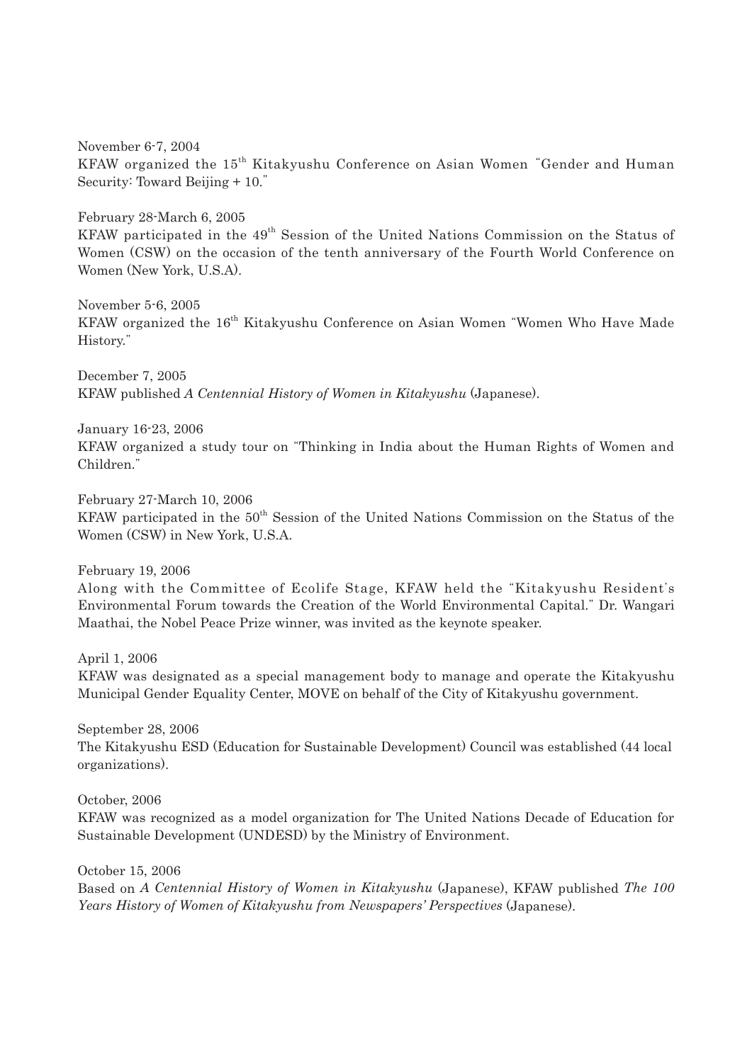November 6-7, 2004 KFAW organized the 15th Kitakyushu Conference on Asian Women "Gender and Human Security: Toward Beijing + 10."

February 28-March 6, 2005 KFAW participated in the  $49<sup>th</sup>$  Session of the United Nations Commission on the Status of Women (CSW) on the occasion of the tenth anniversary of the Fourth World Conference on Women (New York, U.S.A).

November 5-6, 2005 KFAW organized the 16<sup>th</sup> Kitakyushu Conference on Asian Women "Women Who Have Made History."

December 7, 2005 KFAW published *A Centennial History of Women in Kitakyushu* (Japanese).

January 16-23, 2006 KFAW organized a study tour on "Thinking in India about the Human Rights of Women and Children."

February 27-March 10, 2006 KFAW participated in the 50<sup>th</sup> Session of the United Nations Commission on the Status of the Women (CSW) in New York, U.S.A.

February 19, 2006

Along with the Committee of Ecolife Stage, KFAW held the "Kitakyushu Resident's Environmental Forum towards the Creation of the World Environmental Capital." Dr. Wangari Maathai, the Nobel Peace Prize winner, was invited as the keynote speaker.

April 1, 2006 KFAW was designated as a special management body to manage and operate the Kitakyushu Municipal Gender Equality Center, MOVE on behalf of the City of Kitakyushu government.

September 28, 2006 The Kitakyushu ESD (Education for Sustainable Development) Council was established (44 local organizations).

October, 2006

KFAW was recognized as a model organization for The United Nations Decade of Education for Sustainable Development (UNDESD) by the Ministry of Environment.

October 15, 2006

Based on *A Centennial History of Women in Kitakyushu* (Japanese), KFAW published *The 100 Years History of Women of Kitakyushu from Newspapers' Perspectives* (Japanese).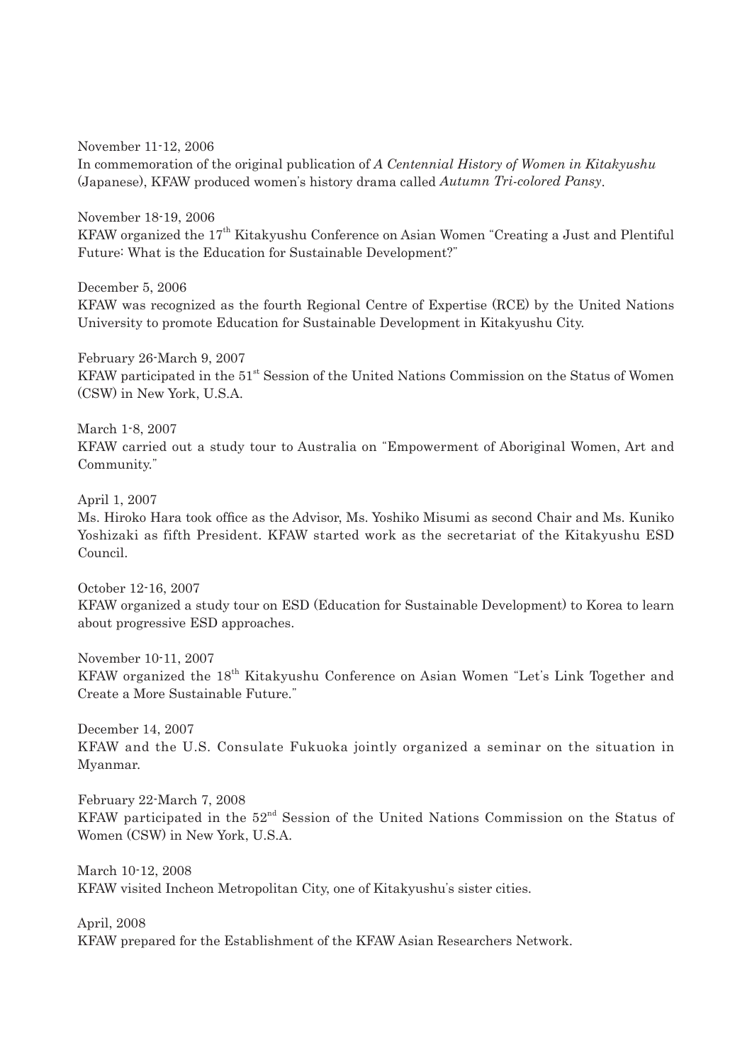November 11-12, 2006 In commemoration of the original publication of *A Centennial History of Women in Kitakyushu* (Japanese), KFAW produced women's history drama called *Autumn Tri-colored Pansy*.

November 18-19, 2006 KFAW organized the 17<sup>th</sup> Kitakyushu Conference on Asian Women "Creating a Just and Plentiful Future: What is the Education for Sustainable Development?"

December 5, 2006 KFAW was recognized as the fourth Regional Centre of Expertise (RCE) by the United Nations University to promote Education for Sustainable Development in Kitakyushu City.

February 26-March 9, 2007 KFAW participated in the  $51<sup>st</sup>$  Session of the United Nations Commission on the Status of Women (CSW) in New York, U.S.A.

March 1-8, 2007 KFAW carried out a study tour to Australia on "Empowerment of Aboriginal Women, Art and Community."

April 1, 2007

Ms. Hiroko Hara took office as the Advisor, Ms. Yoshiko Misumi as second Chair and Ms. Kuniko Yoshizaki as fifth President. KFAW started work as the secretariat of the Kitakyushu ESD Council.

October 12-16, 2007 KFAW organized a study tour on ESD (Education for Sustainable Development) to Korea to learn about progressive ESD approaches.

November 10-11, 2007 KFAW organized the 18<sup>th</sup> Kitakyushu Conference on Asian Women "Let's Link Together and Create a More Sustainable Future."

December 14, 2007 KFAW and the U.S. Consulate Fukuoka jointly organized a seminar on the situation in Myanmar.

February 22-March 7, 2008 KFAW participated in the  $52<sup>nd</sup>$  Session of the United Nations Commission on the Status of Women (CSW) in New York, U.S.A.

March 10-12, 2008 KFAW visited Incheon Metropolitan City, one of Kitakyushu's sister cities.

April, 2008 KFAW prepared for the Establishment of the KFAW Asian Researchers Network.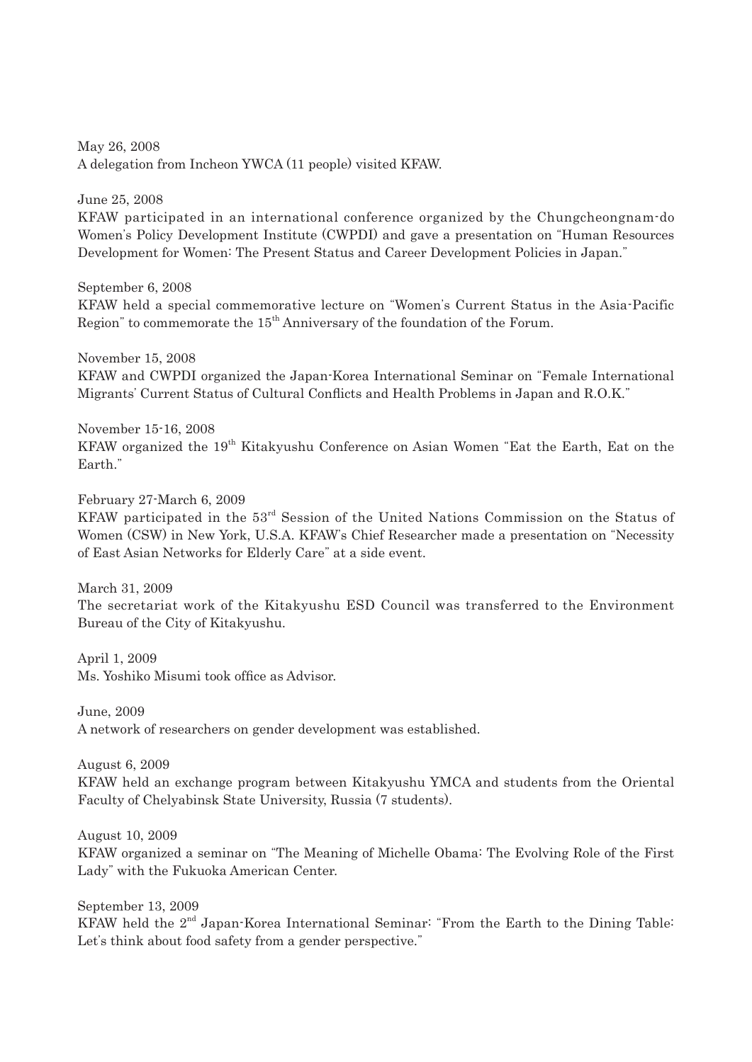May 26, 2008 A delegation from Incheon YWCA (11 people) visited KFAW.

June 25, 2008 KFAW participated in an international conference organized by the Chungcheongnam-do Women's Policy Development Institute (CWPDI) and gave a presentation on "Human Resources Development for Women: The Present Status and Career Development Policies in Japan."

September 6, 2008 KFAW held a special commemorative lecture on "Women's Current Status in the Asia-Pacific Region" to commemorate the  $15<sup>th</sup>$  Anniversary of the foundation of the Forum.

November 15, 2008 KFAW and CWPDI organized the Japan-Korea International Seminar on "Female International Migrants' Current Status of Cultural Conflicts and Health Problems in Japan and R.O.K."

November 15-16, 2008 KFAW organized the 19<sup>th</sup> Kitakyushu Conference on Asian Women "Eat the Earth, Eat on the Earth."

February 27-March 6, 2009 KFAW participated in the 53rd Session of the United Nations Commission on the Status of Women (CSW) in New York, U.S.A. KFAW's Chief Researcher made a presentation on "Necessity of East Asian Networks for Elderly Care" at a side event.

March 31, 2009 The secretariat work of the Kitakyushu ESD Council was transferred to the Environment Bureau of the City of Kitakyushu.

April 1, 2009 Ms. Yoshiko Misumi took office as Advisor.

June, 2009 A network of researchers on gender development was established.

August 6, 2009

KFAW held an exchange program between Kitakyushu YMCA and students from the Oriental Faculty of Chelyabinsk State University, Russia (7 students).

August 10, 2009 KFAW organized a seminar on "The Meaning of Michelle Obama: The Evolving Role of the First Lady" with the Fukuoka American Center.

September 13, 2009 KFAW held the 2<sup>nd</sup> Japan-Korea International Seminar: "From the Earth to the Dining Table: Let's think about food safety from a gender perspective."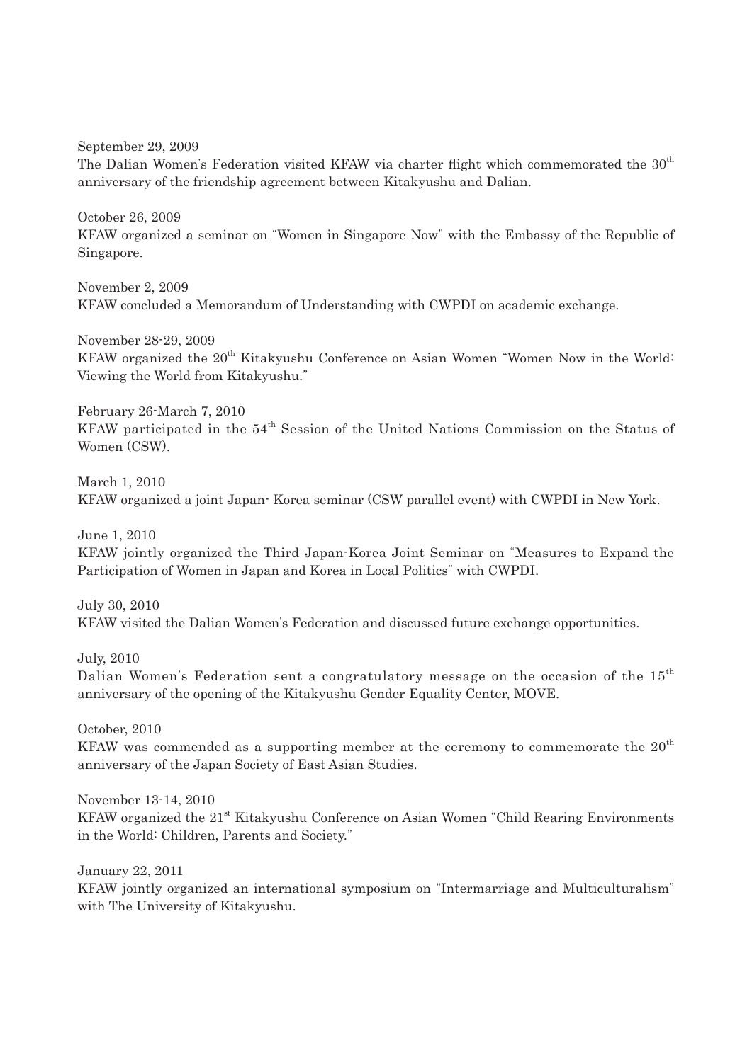September 29, 2009

The Dalian Women's Federation visited KFAW via charter flight which commemorated the 30<sup>th</sup> anniversary of the friendship agreement between Kitakyushu and Dalian.

October 26, 2009 KFAW organized a seminar on "Women in Singapore Now" with the Embassy of the Republic of Singapore.

November 2, 2009 KFAW concluded a Memorandum of Understanding with CWPDI on academic exchange.

November 28-29, 2009 KFAW organized the 20<sup>th</sup> Kitakyushu Conference on Asian Women "Women Now in the World: Viewing the World from Kitakyushu."

February 26-March 7, 2010 KFAW participated in the  $54<sup>th</sup>$  Session of the United Nations Commission on the Status of Women (CSW).

March 1, 2010 KFAW organized a joint Japan- Korea seminar (CSW parallel event) with CWPDI in New York.

June 1, 2010

KFAW jointly organized the Third Japan-Korea Joint Seminar on "Measures to Expand the Participation of Women in Japan and Korea in Local Politics" with CWPDI.

July 30, 2010 KFAW visited the Dalian Women's Federation and discussed future exchange opportunities.

July, 2010 Dalian Women's Federation sent a congratulatory message on the occasion of the  $15<sup>th</sup>$ anniversary of the opening of the Kitakyushu Gender Equality Center, MOVE.

October, 2010 KFAW was commended as a supporting member at the ceremony to commemorate the  $20<sup>th</sup>$ anniversary of the Japan Society of East Asian Studies.

November 13-14, 2010 KFAW organized the 21<sup>st</sup> Kitakyushu Conference on Asian Women "Child Rearing Environments" in the World: Children, Parents and Society."

January 22, 2011

KFAW jointly organized an international symposium on "Intermarriage and Multiculturalism" with The University of Kitakyushu.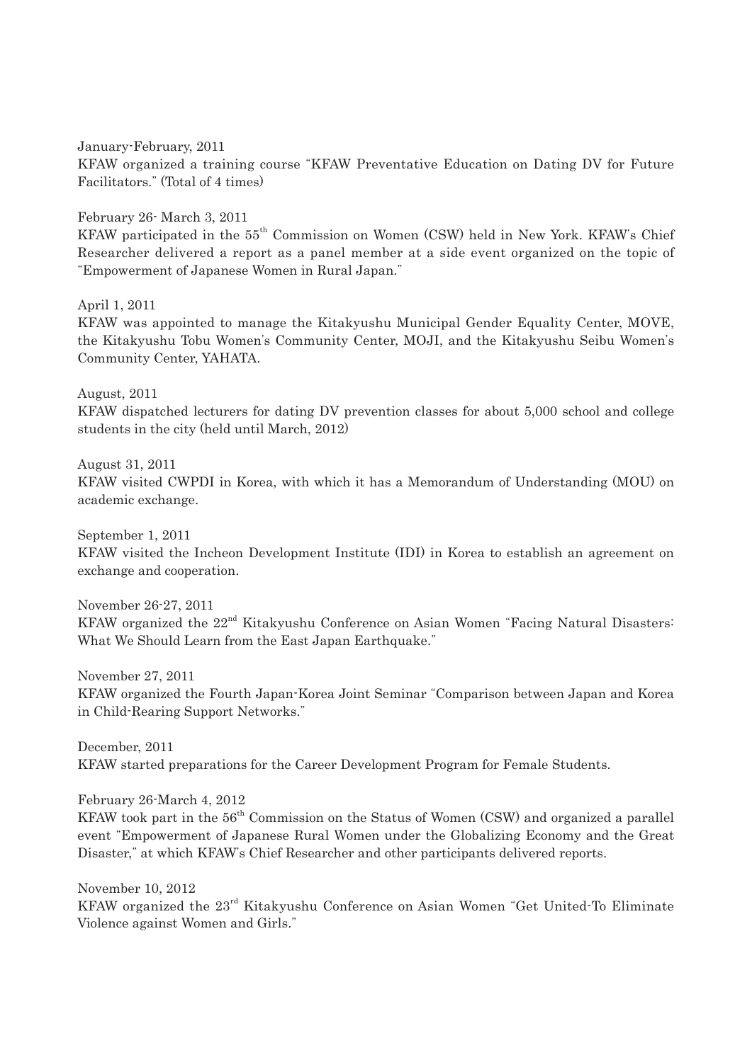January-February, 2011 KFAW organized a training course "KFAW Preventative Education on Dating DV for Future Facilitators." (Total of 4 times)

February 26- March 3, 2011

KFAW participated in the 55<sup>th</sup> Commission on Women (CSW) held in New York. KFAW's Chief Researcher delivered a report as a panel member at a side event organized on the topic of "Empowerment of Japanese Women in Rural Japan."

April 1, 2011

KFAW was appointed to manage the Kitakyushu Municipal Gender Equality Center, MOVE, the Kitakyushu Tobu Women's Community Center, MOJI, and the Kitakyushu Seibu Women's Community Center, YAHATA.

August, 2011 KFAW dispatched lecturers for dating DV prevention classes for about 5,000 school and college students in the city (held until March, 2012)

August 31, 2011 KFAW visited CWPDI in Korea, with which it has a Memorandum of Understanding (MOU) on academic exchange.

September 1, 2011

KFAW visited the Incheon Development Institute (IDI) in Korea to establish an agreement on exchange and cooperation.

November 26-27, 2011 KFAW organized the 22<sup>nd</sup> Kitakyushu Conference on Asian Women "Facing Natural Disasters: What We Should Learn from the East Japan Earthquake."

November 27, 2011

KFAW organized the Fourth Japan-Korea Joint Seminar "Comparison between Japan and Korea in Child-Rearing Support Networks."

December, 2011 KFAW started preparations for the Career Development Program for Female Students.

February 26-March 4, 2012

KFAW took part in the  $56<sup>th</sup>$  Commission on the Status of Women (CSW) and organized a parallel event "Empowerment of Japanese Rural Women under the Globalizing Economy and the Great Disaster," at which KFAW's Chief Researcher and other participants delivered reports.

November 10, 2012

KFAW organized the 23<sup>rd</sup> Kitakyushu Conference on Asian Women "Get United-To Eliminate Violence against Women and Girls."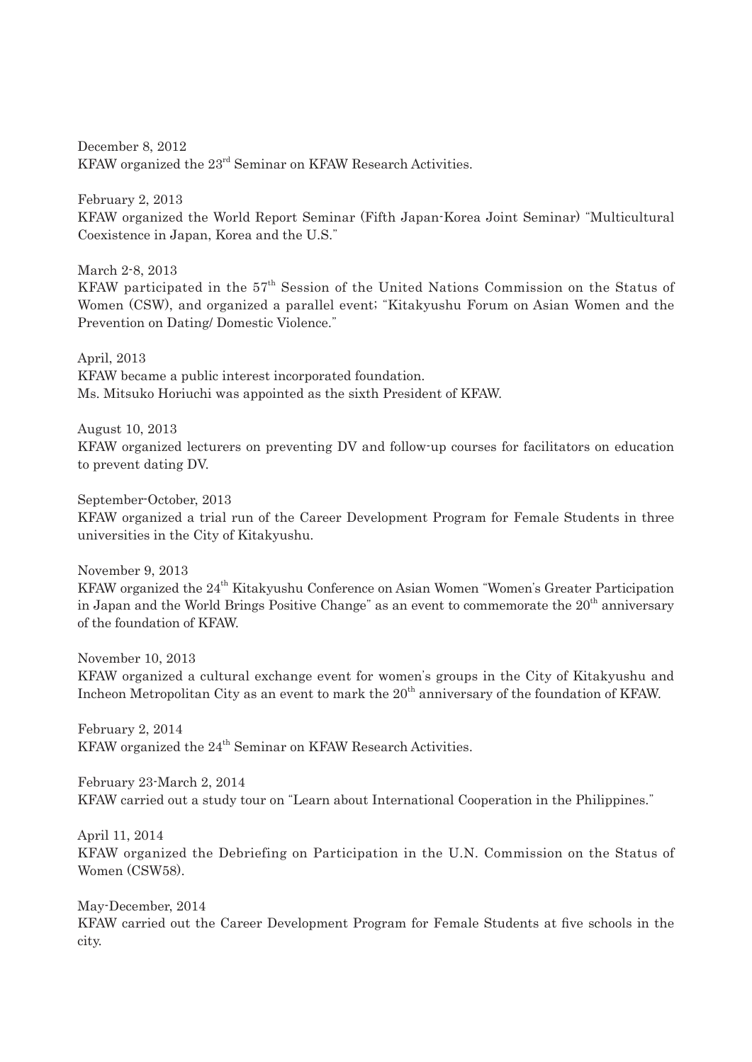December 8, 2012 KFAW organized the 23rd Seminar on KFAW Research Activities.

February 2, 2013 KFAW organized the World Report Seminar (Fifth Japan-Korea Joint Seminar) "Multicultural Coexistence in Japan, Korea and the U.S."

March 2-8, 2013 KFAW participated in the  $57<sup>th</sup>$  Session of the United Nations Commission on the Status of Women (CSW), and organized a parallel event; "Kitakyushu Forum on Asian Women and the Prevention on Dating/ Domestic Violence."

April, 2013 KFAW became a public interest incorporated foundation. Ms. Mitsuko Horiuchi was appointed as the sixth President of KFAW.

August 10, 2013 KFAW organized lecturers on preventing DV and follow-up courses for facilitators on education to prevent dating DV.

September-October, 2013 KFAW organized a trial run of the Career Development Program for Female Students in three universities in the City of Kitakyushu.

November 9, 2013 KFAW organized the 24<sup>th</sup> Kitakyushu Conference on Asian Women "Women's Greater Participation

in Japan and the World Brings Positive Change" as an event to commemorate the  $20<sup>th</sup>$  anniversary of the foundation of KFAW.

November 10, 2013 KFAW organized a cultural exchange event for women's groups in the City of Kitakyushu and Incheon Metropolitan City as an event to mark the 20<sup>th</sup> anniversary of the foundation of KFAW.

February 2, 2014 KFAW organized the 24<sup>th</sup> Seminar on KFAW Research Activities.

February 23-March 2, 2014 KFAW carried out a study tour on "Learn about International Cooperation in the Philippines."

April 11, 2014 KFAW organized the Debriefing on Participation in the U.N. Commission on the Status of Women (CSW58).

May-December, 2014 KFAW carried out the Career Development Program for Female Students at five schools in the city.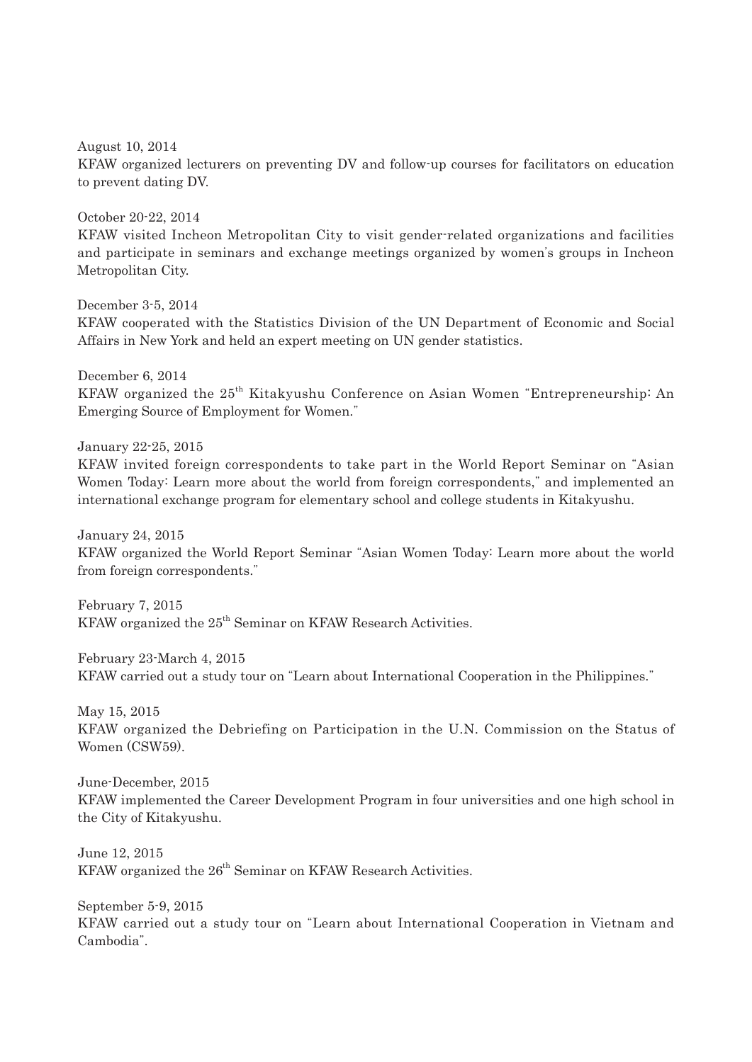August 10, 2014 KFAW organized lecturers on preventing DV and follow-up courses for facilitators on education to prevent dating DV.

October 20-22, 2014 KFAW visited Incheon Metropolitan City to visit gender-related organizations and facilities and participate in seminars and exchange meetings organized by women's groups in Incheon Metropolitan City.

December 3-5, 2014 KFAW cooperated with the Statistics Division of the UN Department of Economic and Social Affairs in New York and held an expert meeting on UN gender statistics.

December 6, 2014 KFAW organized the 25th Kitakyushu Conference on Asian Women "Entrepreneurship: An Emerging Source of Employment for Women."

January 22-25, 2015

KFAW invited foreign correspondents to take part in the World Report Seminar on "Asian Women Today: Learn more about the world from foreign correspondents," and implemented an international exchange program for elementary school and college students in Kitakyushu.

January 24, 2015

KFAW organized the World Report Seminar "Asian Women Today: Learn more about the world from foreign correspondents."

February 7, 2015 KFAW organized the 25<sup>th</sup> Seminar on KFAW Research Activities.

February 23-March 4, 2015 KFAW carried out a study tour on "Learn about International Cooperation in the Philippines."

May 15, 2015 KFAW organized the Debriefing on Participation in the U.N. Commission on the Status of Women (CSW59).

June-December, 2015 KFAW implemented the Career Development Program in four universities and one high school in the City of Kitakyushu.

June 12, 2015 KFAW organized the  $26<sup>th</sup>$  Seminar on KFAW Research Activities.

September 5-9, 2015 KFAW carried out a study tour on "Learn about International Cooperation in Vietnam and Cambodia".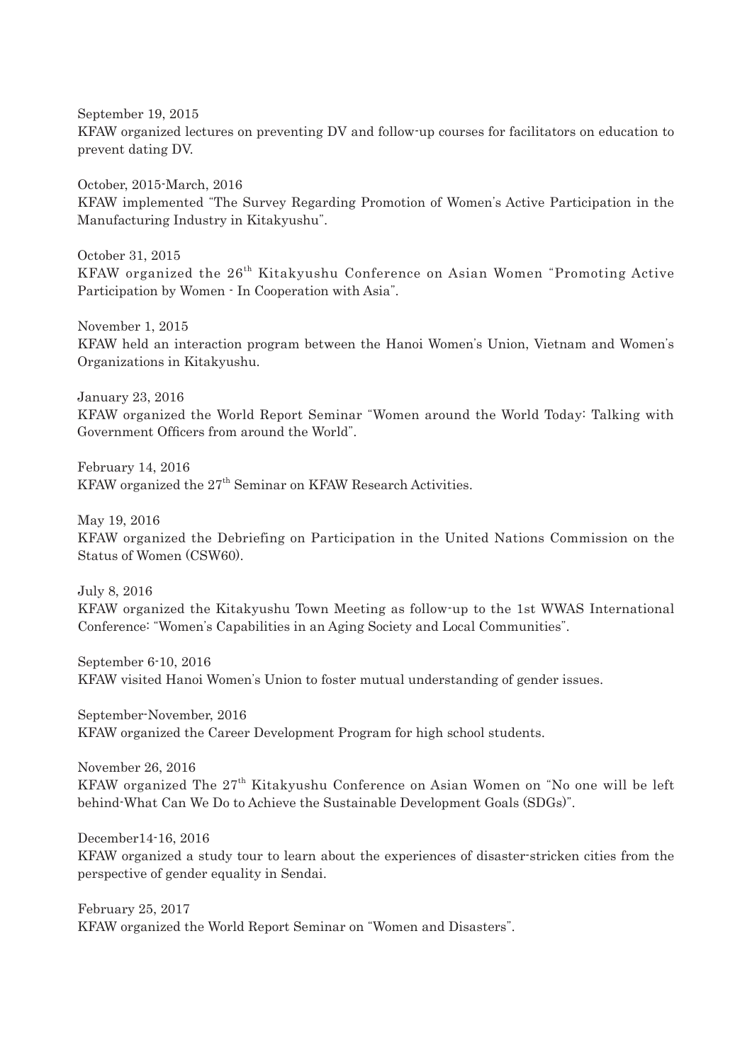September 19, 2015 KFAW organized lectures on preventing DV and follow-up courses for facilitators on education to prevent dating DV.

October, 2015-March, 2016 KFAW implemented "The Survey Regarding Promotion of Women's Active Participation in the Manufacturing Industry in Kitakyushu".

October 31, 2015 KFAW organized the 26<sup>th</sup> Kitakyushu Conference on Asian Women "Promoting Active Participation by Women - In Cooperation with Asia".

November 1, 2015 KFAW held an interaction program between the Hanoi Women's Union, Vietnam and Women's Organizations in Kitakyushu.

January 23, 2016

KFAW organized the World Report Seminar "Women around the World Today: Talking with Government Officers from around the World".

February 14, 2016 KFAW organized the  $27<sup>th</sup>$  Seminar on KFAW Research Activities.

May 19, 2016

KFAW organized the Debriefing on Participation in the United Nations Commission on the Status of Women (CSW60).

July 8, 2016 KFAW organized the Kitakyushu Town Meeting as follow-up to the 1st WWAS International Conference: "Women's Capabilities in an Aging Society and Local Communities".

September 6-10, 2016 KFAW visited Hanoi Women's Union to foster mutual understanding of gender issues.

September-November, 2016 KFAW organized the Career Development Program for high school students.

November 26, 2016 KFAW organized The  $27<sup>th</sup>$  Kitakyushu Conference on Asian Women on "No one will be left behind-What Can We Do to Achieve the Sustainable Development Goals (SDGs)".

December14-16, 2016

KFAW organized a study tour to learn about the experiences of disaster-stricken cities from the perspective of gender equality in Sendai.

February 25, 2017 KFAW organized the World Report Seminar on "Women and Disasters".